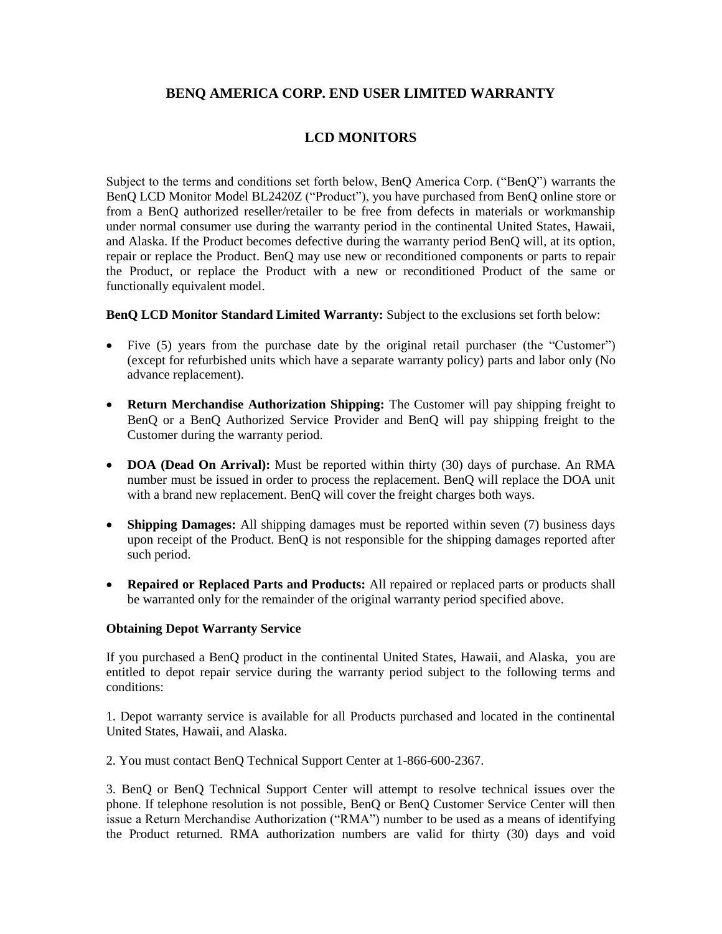## **BENQ AMERICA CORP. END USER LIMITED WARRANTY**

# **LCD MONITORS**

Subject to the terms and conditions set forth below, BenQ America Corp. ("BenQ") warrants the BenQ LCD Monitor Model BL2420Z ("Product"), you have purchased from BenQ online store or from a BenQ authorized reseller/retailer to be free from defects in materials or workmanship under normal consumer use during the warranty period in the continental United States, Hawaii, and Alaska. If the Product becomes defective during the warranty period BenQ will, at its option, repair or replace the Product. BenQ may use new or reconditioned components or parts to repair the Product, or replace the Product with a new or reconditioned Product of the same or functionally equivalent model.

**BenQ LCD Monitor Standard Limited Warranty:** Subject to the exclusions set forth below:

- Five (5) years from the purchase date by the original retail purchaser (the "Customer") (except for refurbished units which have a separate warranty policy) parts and labor only (No advance replacement).
- **Return Merchandise Authorization Shipping:** The Customer will pay shipping freight to BenQ or a BenQ Authorized Service Provider and BenQ will pay shipping freight to the Customer during the warranty period.
- **DOA (Dead On Arrival):** Must be reported within thirty (30) days of purchase. An RMA number must be issued in order to process the replacement. BenQ will replace the DOA unit with a brand new replacement. BenQ will cover the freight charges both ways.
- **Shipping Damages:** All shipping damages must be reported within seven (7) business days upon receipt of the Product. BenQ is not responsible for the shipping damages reported after such period.
- **Repaired or Replaced Parts and Products:** All repaired or replaced parts or products shall be warranted only for the remainder of the original warranty period specified above.

#### **Obtaining Depot Warranty Service**

If you purchased a BenQ product in the continental United States, Hawaii, and Alaska, you are entitled to depot repair service during the warranty period subject to the following terms and conditions:

1. Depot warranty service is available for all Products purchased and located in the continental United States, Hawaii, and Alaska.

2. You must contact BenQ Technical Support Center at 1-866-600-2367.

3. BenQ or BenQ Technical Support Center will attempt to resolve technical issues over the phone. If telephone resolution is not possible, BenQ or BenQ Customer Service Center will then issue a Return Merchandise Authorization ("RMA") number to be used as a means of identifying the Product returned. RMA authorization numbers are valid for thirty (30) days and void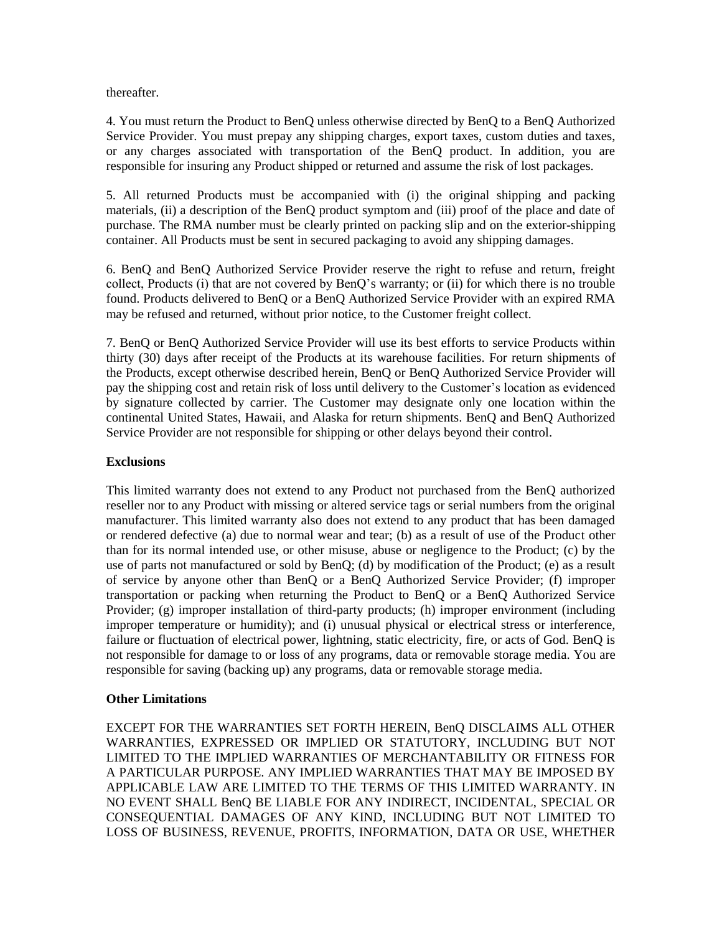thereafter.

4. You must return the Product to BenQ unless otherwise directed by BenQ to a BenQ Authorized Service Provider. You must prepay any shipping charges, export taxes, custom duties and taxes, or any charges associated with transportation of the BenQ product. In addition, you are responsible for insuring any Product shipped or returned and assume the risk of lost packages.

5. All returned Products must be accompanied with (i) the original shipping and packing materials, (ii) a description of the BenQ product symptom and (iii) proof of the place and date of purchase. The RMA number must be clearly printed on packing slip and on the exterior-shipping container. All Products must be sent in secured packaging to avoid any shipping damages.

6. BenQ and BenQ Authorized Service Provider reserve the right to refuse and return, freight collect, Products (i) that are not covered by BenQ's warranty; or (ii) for which there is no trouble found. Products delivered to BenQ or a BenQ Authorized Service Provider with an expired RMA may be refused and returned, without prior notice, to the Customer freight collect.

7. BenQ or BenQ Authorized Service Provider will use its best efforts to service Products within thirty (30) days after receipt of the Products at its warehouse facilities. For return shipments of the Products, except otherwise described herein, BenQ or BenQ Authorized Service Provider will pay the shipping cost and retain risk of loss until delivery to the Customer's location as evidenced by signature collected by carrier. The Customer may designate only one location within the continental United States, Hawaii, and Alaska for return shipments. BenQ and BenQ Authorized Service Provider are not responsible for shipping or other delays beyond their control.

#### **Exclusions**

This limited warranty does not extend to any Product not purchased from the BenQ authorized reseller nor to any Product with missing or altered service tags or serial numbers from the original manufacturer. This limited warranty also does not extend to any product that has been damaged or rendered defective (a) due to normal wear and tear; (b) as a result of use of the Product other than for its normal intended use, or other misuse, abuse or negligence to the Product; (c) by the use of parts not manufactured or sold by BenQ; (d) by modification of the Product; (e) as a result of service by anyone other than BenQ or a BenQ Authorized Service Provider; (f) improper transportation or packing when returning the Product to BenQ or a BenQ Authorized Service Provider; (g) improper installation of third-party products; (h) improper environment (including improper temperature or humidity); and (i) unusual physical or electrical stress or interference, failure or fluctuation of electrical power, lightning, static electricity, fire, or acts of God. BenQ is not responsible for damage to or loss of any programs, data or removable storage media. You are responsible for saving (backing up) any programs, data or removable storage media.

### **Other Limitations**

EXCEPT FOR THE WARRANTIES SET FORTH HEREIN, BenQ DISCLAIMS ALL OTHER WARRANTIES, EXPRESSED OR IMPLIED OR STATUTORY, INCLUDING BUT NOT LIMITED TO THE IMPLIED WARRANTIES OF MERCHANTABILITY OR FITNESS FOR A PARTICULAR PURPOSE. ANY IMPLIED WARRANTIES THAT MAY BE IMPOSED BY APPLICABLE LAW ARE LIMITED TO THE TERMS OF THIS LIMITED WARRANTY. IN NO EVENT SHALL BenQ BE LIABLE FOR ANY INDIRECT, INCIDENTAL, SPECIAL OR CONSEQUENTIAL DAMAGES OF ANY KIND, INCLUDING BUT NOT LIMITED TO LOSS OF BUSINESS, REVENUE, PROFITS, INFORMATION, DATA OR USE, WHETHER